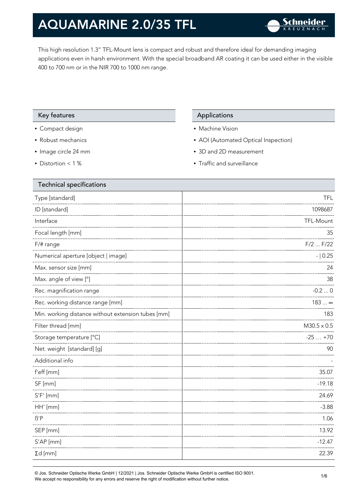This high resolution 1.3" TFL-Mount lens is compact and robust and therefore ideal for demanding imaging applications even in harsh environment. With the special broadband AR coating it can be used either in the visible 400 to 700 nm or in the NIR 700 to 1000 nm range.

#### Key features **Applications** Applications

- Compact design
- Robust mechanics
- Image circle 24 mm
- Distortion < 1 %

- Machine Vision
- AOI (Automated Optical Inspection)
- 3D and 2D measurement
- Traffic and surveillance

| <b>Technical specifications</b>                    |                    |
|----------------------------------------------------|--------------------|
| Type [standard]                                    | <b>TFL</b>         |
| ID [standard]                                      | 1098687            |
| Interface                                          | TFL-Mount          |
| Focal length [mm]                                  | 35                 |
| F/# range                                          | $F/2$ $F/22$       |
| Numerical aperture [object   image]                | $- 0.25$           |
| Max. sensor size [mm]                              | 24                 |
| Max. angle of view [°]                             | 38                 |
| Rec. magnification range                           | $-0.20$            |
| Rec. working distance range [mm]                   | 183  ∞             |
| Min. working distance without extension tubes [mm] | 183                |
| Filter thread [mm]                                 | $M30.5 \times 0.5$ |
| Storage temperature [°C]                           | $-25+70$           |
| Net. weight [standard] [g]                         | 90                 |
| Additional info                                    |                    |
| f'eff [mm]                                         | 35.07              |
| SF [mm]                                            | $-19.18$           |
| $S'F'$ [mm]                                        | 24.69              |
| HH' [mm]                                           | $-3.88$            |
| $\beta'$ P                                         | 1.06               |
| SEP [mm]                                           | 13.92              |
| S'AP [mm]                                          | $-12.47$           |
| $\Sigma d$ [mm]                                    | 22.39              |
|                                                    |                    |

© Jos. Schneider Optische Werke GmbH | 12/2021 | Jos. Schneider Optische Werke GmbH is certified ISO 9001. We accept no responsibility for any errors and reserve the right of modification without further notice.<br>We accept no responsibility for any errors and reserve the right of modification without further notice.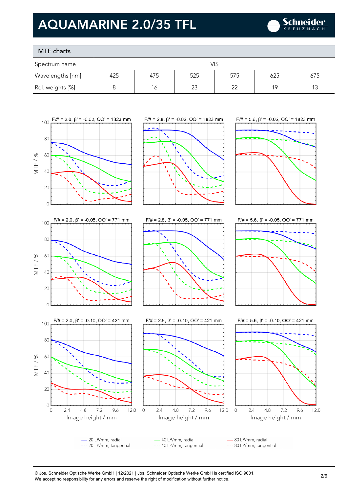

### MTF charts

| Spectrum name    | VIS |     |     |     |     |     |
|------------------|-----|-----|-----|-----|-----|-----|
| Wavelengths [nm] | 425 | 4/5 | 525 | 575 | 625 | 675 |
| Rel. weights [%] |     | Ó   | ∩^  |     | 1 C |     |

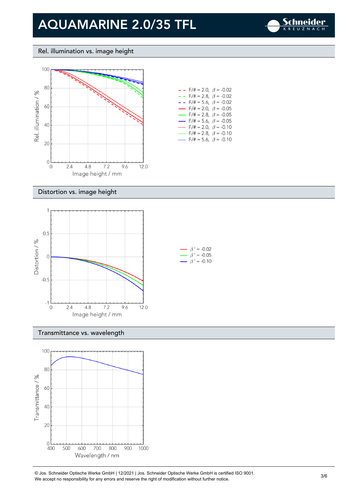

#### Rel. illumination vs. image height



| $ -$                     | $F/\ddot{=} = 2.0, \ \beta = -0.02$     |  |
|--------------------------|-----------------------------------------|--|
| $- -$                    | $F/\ddot{\pi} = 2.8, \ \ \beta = -0.02$ |  |
| - -                      | $F/\ddot{\pi} = 5.6, \ \ \beta = -0.02$ |  |
| $\overline{\phantom{0}}$ | $F/\ddot{\pi} = 2.0, \ \ \beta = -0.05$ |  |
| $\overline{\phantom{0}}$ | $F/\ddot{\pi} = 2.8, \ \ \beta = -0.05$ |  |
| $\overline{\phantom{0}}$ | $F/\ddot{\pi} = 5.6, \ \beta = -0.05$   |  |
|                          | $F/\ddot{=} = 2.0, \ \beta = -0.10$     |  |
| $\cdots$                 | $F/\ddot{=} = 2.8, \ \ \beta = -0.10$   |  |
|                          | $F/\ddot{=} = 5.6, \ \beta = -0.10$     |  |

#### Distortion vs. image height



#### Transmittance vs. wavelength



© Jos. Schneider Optische Werke GmbH | 12/2021 | Jos. Schneider Optische Werke GmbH is certified ISO 9001. We Jos. Scrinelaer Opuscrie werke GribH | 12/2021 | Jos. Scrinelaer Opuscrie werke GribH is certified ISO 9001.<br>We accept no responsibility for any errors and reserve the right of modification without further notice.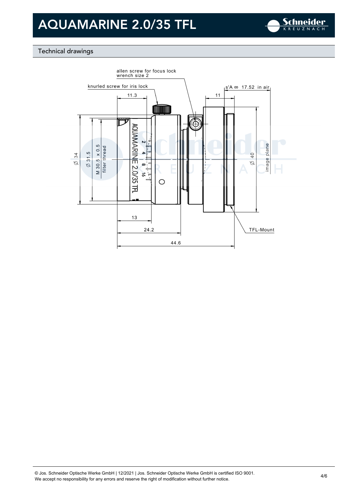

### Technical drawings